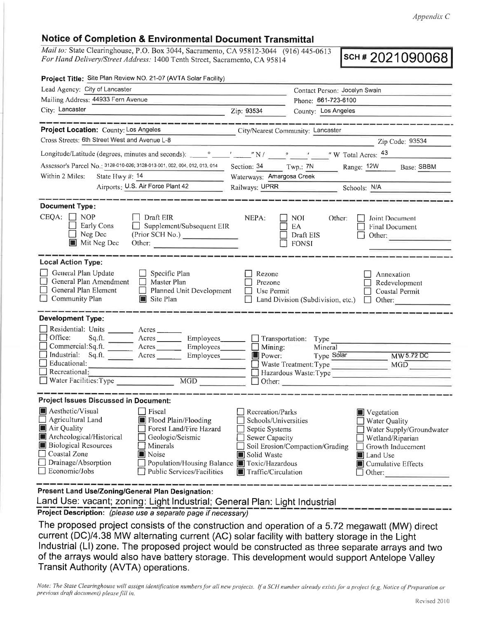## Notice of Completion & Environmental Document Transmittal

Mail to: State Clearinghouse, P.O. Box 3044, Sacramento, CA 95812-3044 (916) 445-0613 For Hand Delivery/Street Address: 1400 Tenth Street, Sacramento, CA 95814

scH # 2021 090068

| Project Title: Site Plan Review NO. 21-07 (AVTA Solar Facility)                                                                                                                         |                                                                                                                                                                                                 |                                                                                                                    |                                                         |                                                                                                                                                            |  |
|-----------------------------------------------------------------------------------------------------------------------------------------------------------------------------------------|-------------------------------------------------------------------------------------------------------------------------------------------------------------------------------------------------|--------------------------------------------------------------------------------------------------------------------|---------------------------------------------------------|------------------------------------------------------------------------------------------------------------------------------------------------------------|--|
| Lead Agency: City of Lancaster                                                                                                                                                          |                                                                                                                                                                                                 |                                                                                                                    | Contact Person: Jocelyn Swain                           |                                                                                                                                                            |  |
| Mailing Address: 44933 Fern Avenue                                                                                                                                                      |                                                                                                                                                                                                 |                                                                                                                    | Phone: 661-723-6100                                     |                                                                                                                                                            |  |
| City: Lancaster                                                                                                                                                                         |                                                                                                                                                                                                 | Zip: 93534                                                                                                         | County: Los Angeles                                     |                                                                                                                                                            |  |
|                                                                                                                                                                                         |                                                                                                                                                                                                 |                                                                                                                    |                                                         |                                                                                                                                                            |  |
| Project Location: County: Los Angeles                                                                                                                                                   |                                                                                                                                                                                                 |                                                                                                                    | City/Nearest Community: Lancaster                       |                                                                                                                                                            |  |
| Cross Streets: 6th Street West and Avenue L-8                                                                                                                                           |                                                                                                                                                                                                 |                                                                                                                    |                                                         | Zip Code: 93534                                                                                                                                            |  |
|                                                                                                                                                                                         |                                                                                                                                                                                                 |                                                                                                                    |                                                         |                                                                                                                                                            |  |
| Assessor's Parcel No.: 3128-010-026; 3128-013-001, 002, 004, 012, 013, 014                                                                                                              |                                                                                                                                                                                                 | Section: 34 Twp.: 7N                                                                                               |                                                         | Range: 12W<br>Base: SBBM                                                                                                                                   |  |
| Within 2 Miles:<br>State Hwy #: 14                                                                                                                                                      |                                                                                                                                                                                                 | Waterways: Amargosa Creek                                                                                          |                                                         |                                                                                                                                                            |  |
| Airports: U.S. Air Force Plant 42                                                                                                                                                       |                                                                                                                                                                                                 | Railways: UPRR Schools: N/A                                                                                        |                                                         |                                                                                                                                                            |  |
|                                                                                                                                                                                         |                                                                                                                                                                                                 |                                                                                                                    |                                                         |                                                                                                                                                            |  |
| <b>Document Type:</b>                                                                                                                                                                   |                                                                                                                                                                                                 |                                                                                                                    |                                                         |                                                                                                                                                            |  |
| CEQA:<br><b>NOP</b><br>Early Cons<br>Neg Dec<br>Mit Neg Dec                                                                                                                             | Draft EIR<br>$\Box$ Supplement/Subsequent EIR<br>(Prior SCH No.)<br>Other: $\qquad \qquad$                                                                                                      | NEPA:                                                                                                              | <b>NOI</b><br>Other:<br>EA<br>Draft EIS<br><b>FONSI</b> | Joint Document<br>Final Document<br>Other:                                                                                                                 |  |
| <b>Local Action Type:</b>                                                                                                                                                               |                                                                                                                                                                                                 |                                                                                                                    |                                                         |                                                                                                                                                            |  |
| General Plan Update<br>General Plan Amendment<br>General Plan Element<br>Community Plan                                                                                                 | $\Box$ Specific Plan<br>$\Box$ Master Plan<br>Planned Unit Development<br>$\Box$<br>$\Box$ Site Plan                                                                                            | Rezone<br>Prezone<br>Use Permit                                                                                    | Land Division (Subdivision, etc.)                       | Annexation<br>Redevelopment<br>Coastal Permit<br>Other:<br>$\Box$                                                                                          |  |
| <b>Development Type:</b>                                                                                                                                                                |                                                                                                                                                                                                 |                                                                                                                    |                                                         |                                                                                                                                                            |  |
| Residential: Units ________ Acres _______<br>$\Box$ Office:<br>Sq.ft.<br>Commercial:Sq.ft. Acres<br>Industrial: Sq.ft. Acres<br>Educational:<br>Recreational:<br>Water Facilities: Type | $A$ cres $\_\_\_\_\_\_\_\_\$<br>Employees<br>Employees______<br>MGD                                                                                                                             | Mining:<br>$\blacksquare$ Power:                                                                                   | Mineral<br>Type Solar<br>Waste Treatment: Type          | MW 5.72 DC<br>MGD<br>Hazardous Waste: Type                                                                                                                 |  |
| <b>Project Issues Discussed in Document:</b>                                                                                                                                            |                                                                                                                                                                                                 |                                                                                                                    |                                                         |                                                                                                                                                            |  |
| Aesthetic/Visual<br>Agricultural Land<br>Air Quality<br>Archeological/Historical<br><b>Biological Resources</b><br>Coastal Zone<br>$\Box$ Drainage/Absorption<br>$\Box$ Economic/Jobs   | $\Box$ Fiscal<br>Flood Plain/Flooding<br>Forest Land/Fire Hazard<br>Geologic/Seismic<br>Minerals<br>Noise<br>Population/Housing Balance <b>In</b> Toxic/Hazardous<br>Public Services/Facilities | Recreation/Parks<br>Schools/Universities<br>Septic Systems<br>Sewer Capacity<br>Solid Waste<br>Traffic/Circulation | Soil Erosion/Compaction/Grading                         | Vegetation<br><b>Water Quality</b><br>Water Supply/Groundwater<br>Wetland/Riparian<br>Growth Inducement<br>Land Use<br><b>Cumulative Effects</b><br>Other: |  |
| Present Land Use/Zoning/General Plan Designation:                                                                                                                                       |                                                                                                                                                                                                 |                                                                                                                    |                                                         |                                                                                                                                                            |  |

Land Use: vacant; zoning: Light Industrial; General Plan: Light Industrial

Project Description: (please use a separate page if necessary)

The proposed project consists of the construction and operation of a 5.72 megawatt (MW) direct current (DC)/4.38 MW alternating current (AC) solar facility with battery storage in the Light lndustrial (Ll) zone. The proposed project would be constructed as three separate arrays and two of the arrays would also have battery storage. This development would support Antelope Valley Transit Authority (AVTA) operations.

Note: The State Clearinghouse will assign identification numbers for all new projects. If a SCH number already exists for a project (e.g. Notice of Preparation or previous draft document) please fill in.